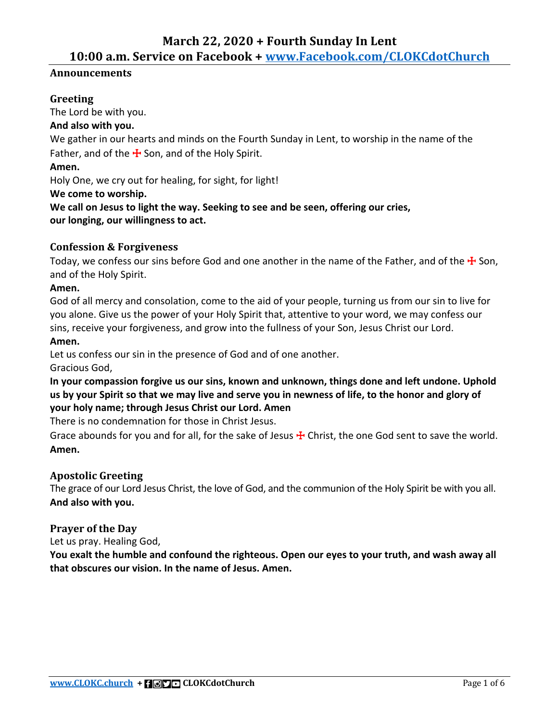### **Announcements**

# **Greeting**

The Lord be with you.

## **And also with you.**

We gather in our hearts and minds on the Fourth Sunday in Lent, to worship in the name of the Father, and of the  $\frac{1}{2}$  Son, and of the Holy Spirit.

## **Amen.**

Holy One, we cry out for healing, for sight, for light!

### **We come to worship.**

**We call on Jesus to light the way. Seeking to see and be seen, offering our cries, our longing, our willingness to act.**

# **Confession & Forgiveness**

Today, we confess our sins before God and one another in the name of the Father, and of the  $\mathbf{\ddot{F}}$  Son, and of the Holy Spirit.

## **Amen.**

God of all mercy and consolation, come to the aid of your people, turning us from our sin to live for you alone. Give us the power of your Holy Spirit that, attentive to your word, we may confess our sins, receive your forgiveness, and grow into the fullness of your Son, Jesus Christ our Lord.

### **Amen.**

Let us confess our sin in the presence of God and of one another.

Gracious God,

**In your compassion forgive us our sins, known and unknown, things done and left undone. Uphold** us by your Spirit so that we may live and serve you in newness of life, to the honor and glory of **your holy name; through Jesus Christ our Lord. Amen**

There is no condemnation for those in Christ Jesus.

Grace abounds for you and for all, for the sake of Jesus  $\pm$  Christ, the one God sent to save the world. **Amen.**

# **Apostolic Greeting**

The grace of our Lord Jesus Christ, the love of God, and the communion of the Holy Spirit be with you all. **And also with you.**

# **Prayer of the Day**

Let us pray. Healing God,

**You exalt the humble and confound the righteous. Open our eyes to your truth, and wash away all that obscures our vision. In the name of Jesus. Amen.**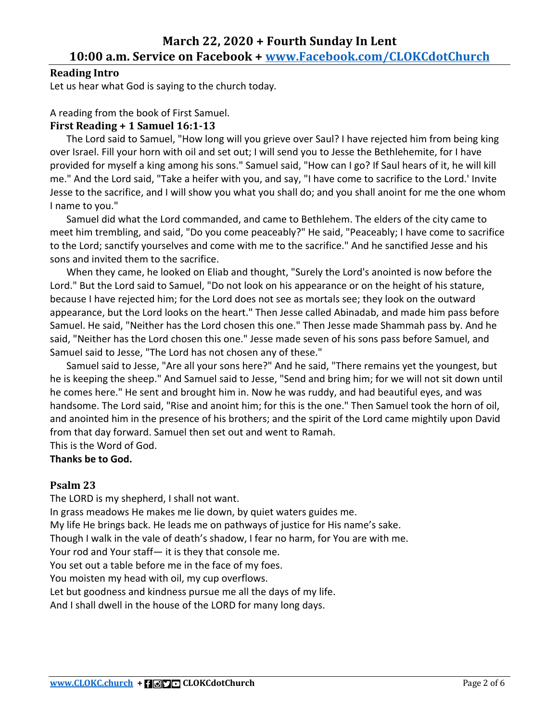#### **Reading Intro**

Let us hear what God is saying to the church today*.*

#### A reading from the book of First Samuel.

## **First Reading + 1 Samuel 16:1-13**

The Lord said to Samuel, "How long will you grieve over Saul? I have rejected him from being king over Israel. Fill your horn with oil and set out; I will send you to Jesse the Bethlehemite, for I have provided for myself a king among his sons." Samuel said, "How can I go? If Saul hears of it, he will kill me." And the Lord said, "Take a heifer with you, and say, "I have come to sacrifice to the Lord.' Invite Jesse to the sacrifice, and I will show you what you shall do; and you shall anoint for me the one whom I name to you."

Samuel did what the Lord commanded, and came to Bethlehem. The elders of the city came to meet him trembling, and said, "Do you come peaceably?" He said, "Peaceably; I have come to sacrifice to the Lord; sanctify yourselves and come with me to the sacrifice." And he sanctified Jesse and his sons and invited them to the sacrifice.

When they came, he looked on Eliab and thought, "Surely the Lord's anointed is now before the Lord." But the Lord said to Samuel, "Do not look on his appearance or on the height of his stature, because I have rejected him; for the Lord does not see as mortals see; they look on the outward appearance, but the Lord looks on the heart." Then Jesse called Abinadab, and made him pass before Samuel. He said, "Neither has the Lord chosen this one." Then Jesse made Shammah pass by. And he said, "Neither has the Lord chosen this one." Jesse made seven of his sons pass before Samuel, and Samuel said to Jesse, "The Lord has not chosen any of these."

Samuel said to Jesse, "Are all your sons here?" And he said, "There remains yet the youngest, but he is keeping the sheep." And Samuel said to Jesse, "Send and bring him; for we will not sit down until he comes here." He sent and brought him in. Now he was ruddy, and had beautiful eyes, and was handsome. The Lord said, "Rise and anoint him; for this is the one." Then Samuel took the horn of oil, and anointed him in the presence of his brothers; and the spirit of the Lord came mightily upon David from that day forward. Samuel then set out and went to Ramah.

This is the Word of God.

**Thanks be to God.**

### **Psalm 23**

The LORD is my shepherd, I shall not want. In grass meadows He makes me lie down, by quiet waters guides me. My life He brings back. He leads me on pathways of justice for His name's sake. Though I walk in the vale of death's shadow, I fear no harm, for You are with me. Your rod and Your staff— it is they that console me. You set out a table before me in the face of my foes. You moisten my head with oil, my cup overflows. Let but goodness and kindness pursue me all the days of my life. And I shall dwell in the house of the LORD for many long days.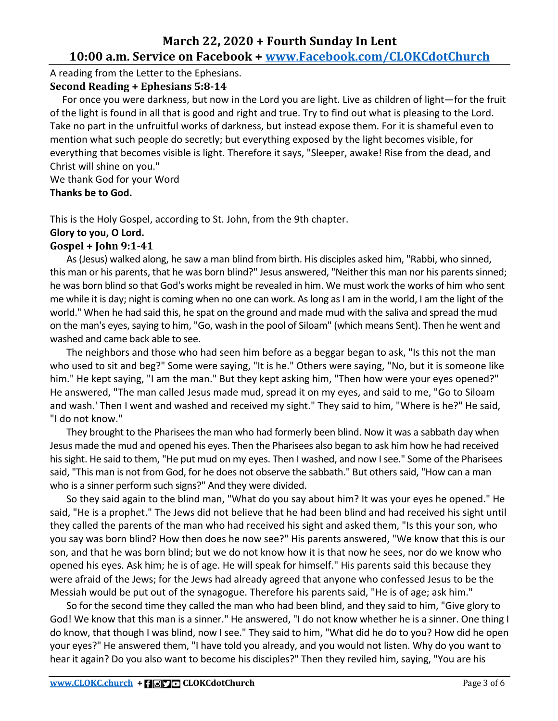# A reading from the Letter to the Ephesians.

# **Second Reading + Ephesians 5:8-14**

For once you were darkness, but now in the Lord you are light. Live as children of light—for the fruit of the light is found in all that is good and right and true. Try to find out what is pleasing to the Lord. Take no part in the unfruitful works of darkness, but instead expose them. For it is shameful even to mention what such people do secretly; but everything exposed by the light becomes visible, for everything that becomes visible is light. Therefore it says, "Sleeper, awake! Rise from the dead, and Christ will shine on you."

We thank God for your Word **Thanks be to God.**

This is the Holy Gospel, according to St. John, from the 9th chapter.

# **Glory to you, O Lord.**

# **Gospel + John 9:1-41**

As (Jesus) walked along, he saw a man blind from birth. His disciples asked him, "Rabbi, who sinned, this man or his parents, that he was born blind?" Jesus answered, "Neither this man nor his parents sinned; he was born blind so that God's works might be revealed in him. We must work the works of him who sent me while it is day; night is coming when no one can work. As long as I am in the world, I am the light of the world." When he had said this, he spat on the ground and made mud with the saliva and spread the mud on the man's eyes, saying to him, "Go, wash in the pool of Siloam" (which means Sent). Then he went and washed and came back able to see.

The neighbors and those who had seen him before as a beggar began to ask, "Is this not the man who used to sit and beg?" Some were saying, "It is he." Others were saying, "No, but it is someone like him." He kept saying, "I am the man." But they kept asking him, "Then how were your eyes opened?" He answered, "The man called Jesus made mud, spread it on my eyes, and said to me, "Go to Siloam and wash.' Then I went and washed and received my sight." They said to him, "Where is he?" He said, "I do not know."

They brought to the Pharisees the man who had formerly been blind. Now it was a sabbath day when Jesus made the mud and opened his eyes. Then the Pharisees also began to ask him how he had received his sight. He said to them, "He put mud on my eyes. Then I washed, and now I see." Some of the Pharisees said, "This man is not from God, for he does not observe the sabbath." But others said, "How can a man who is a sinner perform such signs?" And they were divided.

So they said again to the blind man, "What do you say about him? It was your eyes he opened." He said, "He is a prophet." The Jews did not believe that he had been blind and had received his sight until they called the parents of the man who had received his sight and asked them, "Is this your son, who you say was born blind? How then does he now see?" His parents answered, "We know that this is our son, and that he was born blind; but we do not know how it is that now he sees, nor do we know who opened his eyes. Ask him; he is of age. He will speak for himself." His parents said this because they were afraid of the Jews; for the Jews had already agreed that anyone who confessed Jesus to be the Messiah would be put out of the synagogue. Therefore his parents said, "He is of age; ask him."

So for the second time they called the man who had been blind, and they said to him, "Give glory to God! We know that this man is a sinner." He answered, "I do not know whether he is a sinner. One thing I do know, that though I was blind, now I see." They said to him, "What did he do to you? How did he open your eyes?" He answered them, "I have told you already, and you would not listen. Why do you want to hear it again? Do you also want to become his disciples?" Then they reviled him, saying, "You are his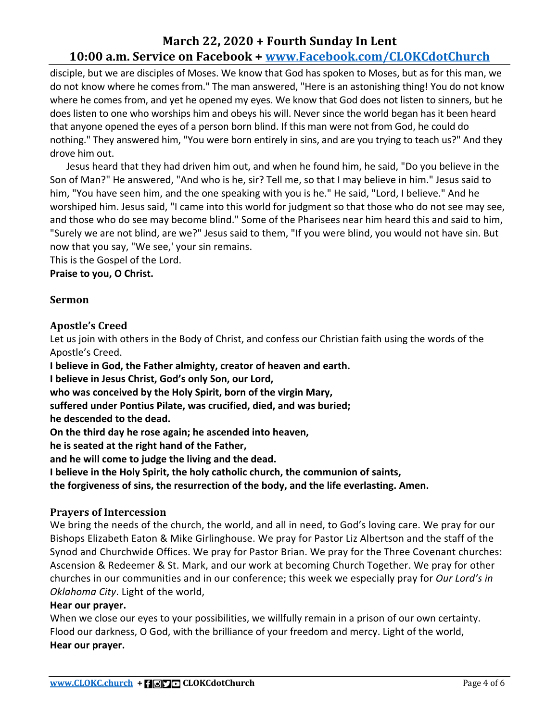disciple, but we are disciples of Moses. We know that God has spoken to Moses, but as for this man, we do not know where he comes from." The man answered, "Here is an astonishing thing! You do not know where he comes from, and yet he opened my eyes. We know that God does not listen to sinners, but he does listen to one who worships him and obeys his will. Never since the world began has it been heard that anyone opened the eyes of a person born blind. If this man were not from God, he could do nothing." They answered him, "You were born entirely in sins, and are you trying to teach us?" And they drove him out.

Jesus heard that they had driven him out, and when he found him, he said, "Do you believe in the Son of Man?" He answered, "And who is he, sir? Tell me, so that I may believe in him." Jesus said to him, "You have seen him, and the one speaking with you is he." He said, "Lord, I believe." And he worshiped him. Jesus said, "I came into this world for judgment so that those who do not see may see, and those who do see may become blind." Some of the Pharisees near him heard this and said to him, "Surely we are not blind, are we?" Jesus said to them, "If you were blind, you would not have sin. But now that you say, "We see,' your sin remains.

This is the Gospel of the Lord.

**Praise to you, O Christ.** 

### **Sermon**

#### **Apostle's Creed**

Let us join with others in the Body of Christ, and confess our Christian faith using the words of the Apostle's Creed.

**I believe in God, the Father almighty, creator of heaven and earth.**

**I believe in Jesus Christ, God's only Son, our Lord,**

**who was conceived by the Holy Spirit, born of the virgin Mary,**

**suffered under Pontius Pilate, was crucified, died, and was buried;**

**he descended to the dead.**

**On the third day he rose again; he ascended into heaven,**

**he is seated at the right hand of the Father,**

**and he will come to judge the living and the dead.**

**I believe in the Holy Spirit, the holy catholic church, the communion of saints,**

**the forgiveness of sins, the resurrection of the body, and the life everlasting. Amen.**

#### **Prayers of Intercession**

We bring the needs of the church, the world, and all in need, to God's loving care. We pray for our Bishops Elizabeth Eaton & Mike Girlinghouse. We pray for Pastor Liz Albertson and the staff of the Synod and Churchwide Offices. We pray for Pastor Brian. We pray for the Three Covenant churches: Ascension & Redeemer & St. Mark, and our work at becoming Church Together. We pray for other churches in our communities and in our conference; this week we especially pray for *Our Lord's in Oklahoma City*. Light of the world,

#### **Hear our prayer.**

When we close our eyes to your possibilities, we willfully remain in a prison of our own certainty. Flood our darkness, O God, with the brilliance of your freedom and mercy. Light of the world, **Hear our prayer.**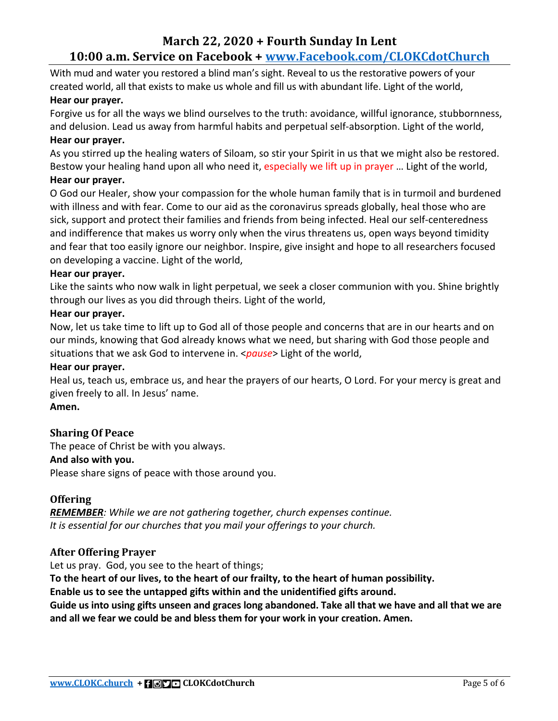With mud and water you restored a blind man's sight. Reveal to us the restorative powers of your created world, all that exists to make us whole and fill us with abundant life. Light of the world,

#### **Hear our prayer.**

Forgive us for all the ways we blind ourselves to the truth: avoidance, willful ignorance, stubbornness, and delusion. Lead us away from harmful habits and perpetual self-absorption. Light of the world,

# **Hear our prayer.**

As you stirred up the healing waters of Siloam, so stir your Spirit in us that we might also be restored. Bestow your healing hand upon all who need it, especially we lift up in prayer ... Light of the world,

## **Hear our prayer.**

O God our Healer, show your compassion for the whole human family that is in turmoil and burdened with illness and with fear. Come to our aid as the coronavirus spreads globally, heal those who are sick, support and protect their families and friends from being infected. Heal our self-centeredness and indifference that makes us worry only when the virus threatens us, open ways beyond timidity and fear that too easily ignore our neighbor. Inspire, give insight and hope to all researchers focused on developing a vaccine. Light of the world,

#### **Hear our prayer.**

Like the saints who now walk in light perpetual, we seek a closer communion with you. Shine brightly through our lives as you did through theirs. Light of the world,

### **Hear our prayer.**

Now, let us take time to lift up to God all of those people and concerns that are in our hearts and on our minds, knowing that God already knows what we need, but sharing with God those people and situations that we ask God to intervene in. <*pause*> Light of the world,

### **Hear our prayer.**

Heal us, teach us, embrace us, and hear the prayers of our hearts, O Lord. For your mercy is great and given freely to all. In Jesus' name.

### **Amen.**

# **Sharing Of Peace**

The peace of Christ be with you always.

### **And also with you.**

Please share signs of peace with those around you.

### **Offering**

*REMEMBER: While we are not gathering together, church expenses continue. It is essential for our churches that you mail your offerings to your church.*

### **After Offering Prayer**

Let us pray. God, you see to the heart of things;

**To the heart of our lives, to the heart of our frailty, to the heart of human possibility.**

**Enable us to see the untapped gifts within and the unidentified gifts around.**

Guide us into using gifts unseen and graces long abandoned. Take all that we have and all that we are **and all we fear we could be and bless them for your work in your creation. Amen.**